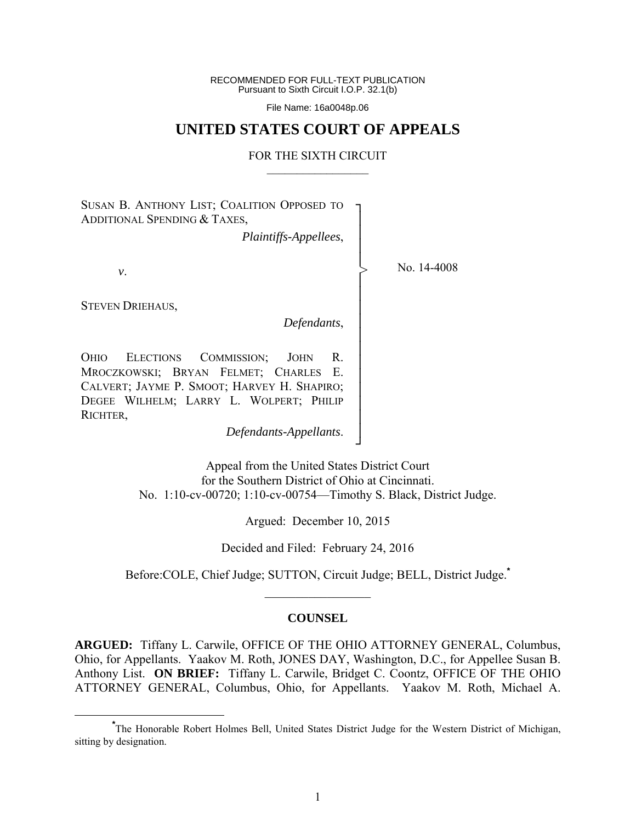RECOMMENDED FOR FULL-TEXT PUBLICATION Pursuant to Sixth Circuit I.O.P. 32.1(b)

File Name: 16a0048p.06

# **UNITED STATES COURT OF APPEALS**

#### FOR THE SIXTH CIRCUIT  $\mathcal{L}_\text{max}$

┐ │ │ │ │ │ │ │ │ │ │ │ │ │ │ │ │ ┘

>

SUSAN B. ANTHONY LIST; COALITION OPPOSED TO ADDITIONAL SPENDING & TAXES,

*Plaintiffs-Appellees*,

*v*.

No. 14-4008

STEVEN DRIEHAUS,

*Defendants*,

OHIO ELECTIONS COMMISSION; JOHN R. MROCZKOWSKI; BRYAN FELMET; CHARLES E. CALVERT; JAYME P. SMOOT; HARVEY H. SHAPIRO; DEGEE WILHELM; LARRY L. WOLPERT; PHILIP RICHTER,

*Defendants-Appellants*.

Appeal from the United States District Court for the Southern District of Ohio at Cincinnati. No. 1:10-cv-00720; 1:10-cv-00754—Timothy S. Black, District Judge.

Argued: December 10, 2015

Decided and Filed: February 24, 2016

Before:COLE, Chief Judge; SUTTON, Circuit Judge; BELL, District Judge.**\***  $\mathcal{L}_\text{max}$ 

# **COUNSEL**

**ARGUED:** Tiffany L. Carwile, OFFICE OF THE OHIO ATTORNEY GENERAL, Columbus, Ohio, for Appellants. Yaakov M. Roth, JONES DAY, Washington, D.C., for Appellee Susan B. Anthony List. **ON BRIEF:** Tiffany L. Carwile, Bridget C. Coontz, OFFICE OF THE OHIO ATTORNEY GENERAL, Columbus, Ohio, for Appellants. Yaakov M. Roth, Michael A.

**\*** The Honorable Robert Holmes Bell, United States District Judge for the Western District of Michigan, sitting by designation.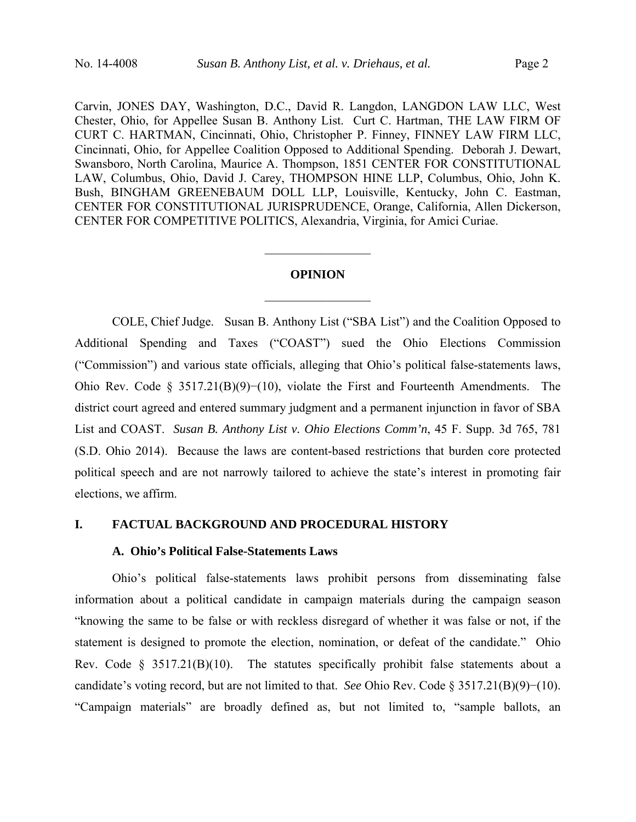Carvin, JONES DAY, Washington, D.C., David R. Langdon, LANGDON LAW LLC, West Chester, Ohio, for Appellee Susan B. Anthony List. Curt C. Hartman, THE LAW FIRM OF CURT C. HARTMAN, Cincinnati, Ohio, Christopher P. Finney, FINNEY LAW FIRM LLC, Cincinnati, Ohio, for Appellee Coalition Opposed to Additional Spending. Deborah J. Dewart, Swansboro, North Carolina, Maurice A. Thompson, 1851 CENTER FOR CONSTITUTIONAL LAW, Columbus, Ohio, David J. Carey, THOMPSON HINE LLP, Columbus, Ohio, John K. Bush, BINGHAM GREENEBAUM DOLL LLP, Louisville, Kentucky, John C. Eastman, CENTER FOR CONSTITUTIONAL JURISPRUDENCE, Orange, California, Allen Dickerson, CENTER FOR COMPETITIVE POLITICS, Alexandria, Virginia, for Amici Curiae.

#### **OPINION**

 $\mathcal{L}_\text{max}$ 

 $\frac{1}{2}$  ,  $\frac{1}{2}$  ,  $\frac{1}{2}$  ,  $\frac{1}{2}$  ,  $\frac{1}{2}$  ,  $\frac{1}{2}$  ,  $\frac{1}{2}$  ,  $\frac{1}{2}$  ,  $\frac{1}{2}$ 

 COLE, Chief Judge. Susan B. Anthony List ("SBA List") and the Coalition Opposed to Additional Spending and Taxes ("COAST") sued the Ohio Elections Commission ("Commission") and various state officials, alleging that Ohio's political false-statements laws, Ohio Rev. Code § 3517.21(B)(9)−(10), violate the First and Fourteenth Amendments. The district court agreed and entered summary judgment and a permanent injunction in favor of SBA List and COAST. *Susan B. Anthony List v. Ohio Elections Comm'n*, 45 F. Supp. 3d 765, 781 (S.D. Ohio 2014). Because the laws are content-based restrictions that burden core protected political speech and are not narrowly tailored to achieve the state's interest in promoting fair elections, we affirm.

### **I. FACTUAL BACKGROUND AND PROCEDURAL HISTORY**

## **A. Ohio's Political False-Statements Laws**

Ohio's political false-statements laws prohibit persons from disseminating false information about a political candidate in campaign materials during the campaign season "knowing the same to be false or with reckless disregard of whether it was false or not, if the statement is designed to promote the election, nomination, or defeat of the candidate." Ohio Rev. Code  $\S$  3517.21(B)(10). The statutes specifically prohibit false statements about a candidate's voting record, but are not limited to that. *See* Ohio Rev. Code § 3517.21(B)(9)−(10). "Campaign materials" are broadly defined as, but not limited to, "sample ballots, an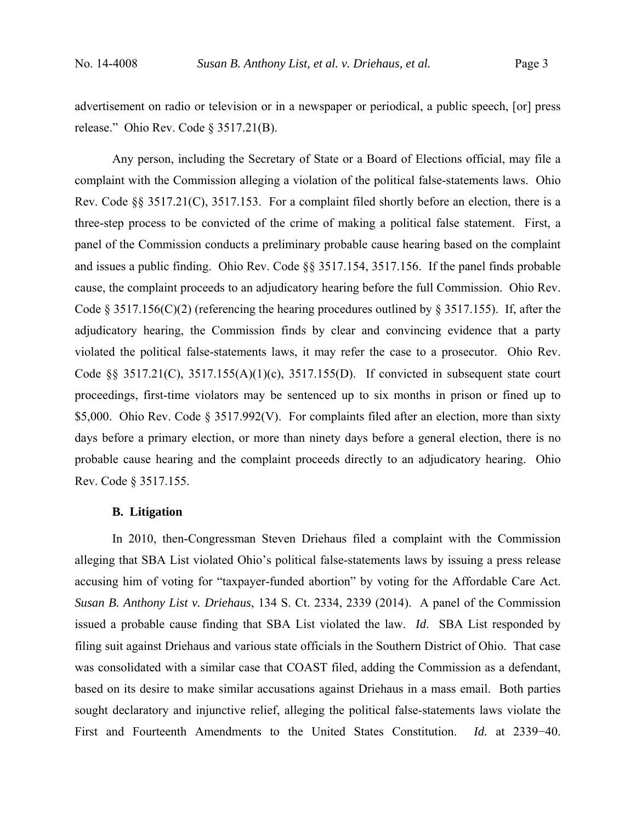advertisement on radio or television or in a newspaper or periodical, a public speech, [or] press release." Ohio Rev. Code § 3517.21(B).

Any person, including the Secretary of State or a Board of Elections official, may file a complaint with the Commission alleging a violation of the political false-statements laws. Ohio Rev. Code §§ 3517.21(C), 3517.153. For a complaint filed shortly before an election, there is a three-step process to be convicted of the crime of making a political false statement. First, a panel of the Commission conducts a preliminary probable cause hearing based on the complaint and issues a public finding. Ohio Rev. Code §§ 3517.154, 3517.156. If the panel finds probable cause, the complaint proceeds to an adjudicatory hearing before the full Commission. Ohio Rev. Code § 3517.156(C)(2) (referencing the hearing procedures outlined by § 3517.155). If, after the adjudicatory hearing, the Commission finds by clear and convincing evidence that a party violated the political false-statements laws, it may refer the case to a prosecutor. Ohio Rev. Code §§ 3517.21(C), 3517.155(A)(1)(c), 3517.155(D). If convicted in subsequent state court proceedings, first-time violators may be sentenced up to six months in prison or fined up to \$5,000. Ohio Rev. Code § 3517.992(V). For complaints filed after an election, more than sixty days before a primary election, or more than ninety days before a general election, there is no probable cause hearing and the complaint proceeds directly to an adjudicatory hearing. Ohio Rev. Code § 3517.155.

### **B. Litigation**

In 2010, then-Congressman Steven Driehaus filed a complaint with the Commission alleging that SBA List violated Ohio's political false-statements laws by issuing a press release accusing him of voting for "taxpayer-funded abortion" by voting for the Affordable Care Act. *Susan B. Anthony List v. Driehaus*, 134 S. Ct. 2334, 2339 (2014). A panel of the Commission issued a probable cause finding that SBA List violated the law. *Id*. SBA List responded by filing suit against Driehaus and various state officials in the Southern District of Ohio. That case was consolidated with a similar case that COAST filed, adding the Commission as a defendant, based on its desire to make similar accusations against Driehaus in a mass email. Both parties sought declaratory and injunctive relief, alleging the political false-statements laws violate the First and Fourteenth Amendments to the United States Constitution. *Id.* at 2339−40.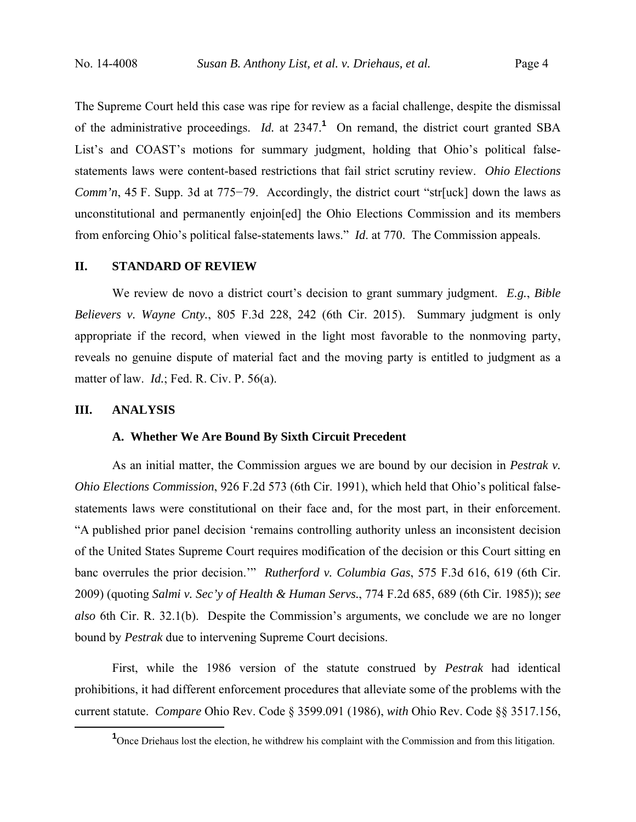The Supreme Court held this case was ripe for review as a facial challenge, despite the dismissal of the administrative proceedings. *Id.* at 2347.**<sup>1</sup>** On remand, the district court granted SBA List's and COAST's motions for summary judgment, holding that Ohio's political falsestatements laws were content-based restrictions that fail strict scrutiny review. *Ohio Elections Comm'n*, 45 F. Supp. 3d at 775–79. Accordingly, the district court "str[uck] down the laws as unconstitutional and permanently enjoin[ed] the Ohio Elections Commission and its members from enforcing Ohio's political false-statements laws." *Id*. at 770. The Commission appeals.

#### **II. STANDARD OF REVIEW**

We review de novo a district court's decision to grant summary judgment. *E.g.*, *Bible Believers v. Wayne Cnty.*, 805 F.3d 228, 242 (6th Cir. 2015). Summary judgment is only appropriate if the record, when viewed in the light most favorable to the nonmoving party, reveals no genuine dispute of material fact and the moving party is entitled to judgment as a matter of law. *Id.*; Fed. R. Civ. P. 56(a).

### **III. ANALYSIS**

## **A. Whether We Are Bound By Sixth Circuit Precedent**

As an initial matter, the Commission argues we are bound by our decision in *Pestrak v. Ohio Elections Commission*, 926 F.2d 573 (6th Cir. 1991), which held that Ohio's political falsestatements laws were constitutional on their face and, for the most part, in their enforcement. "A published prior panel decision 'remains controlling authority unless an inconsistent decision of the United States Supreme Court requires modification of the decision or this Court sitting en banc overrules the prior decision.'" *Rutherford v. Columbia Gas*, 575 F.3d 616, 619 (6th Cir. 2009) (quoting *Salmi v. Sec'y of Health & Human Servs.*, 774 F.2d 685, 689 (6th Cir. 1985)); *see also* 6th Cir. R. 32.1(b). Despite the Commission's arguments, we conclude we are no longer bound by *Pestrak* due to intervening Supreme Court decisions.

First, while the 1986 version of the statute construed by *Pestrak* had identical prohibitions, it had different enforcement procedures that alleviate some of the problems with the current statute. *Compare* Ohio Rev. Code § 3599.091 (1986), *with* Ohio Rev. Code §§ 3517.156,

 $\frac{1}{1}$ <sup>1</sup> Once Driehaus lost the election, he withdrew his complaint with the Commission and from this litigation.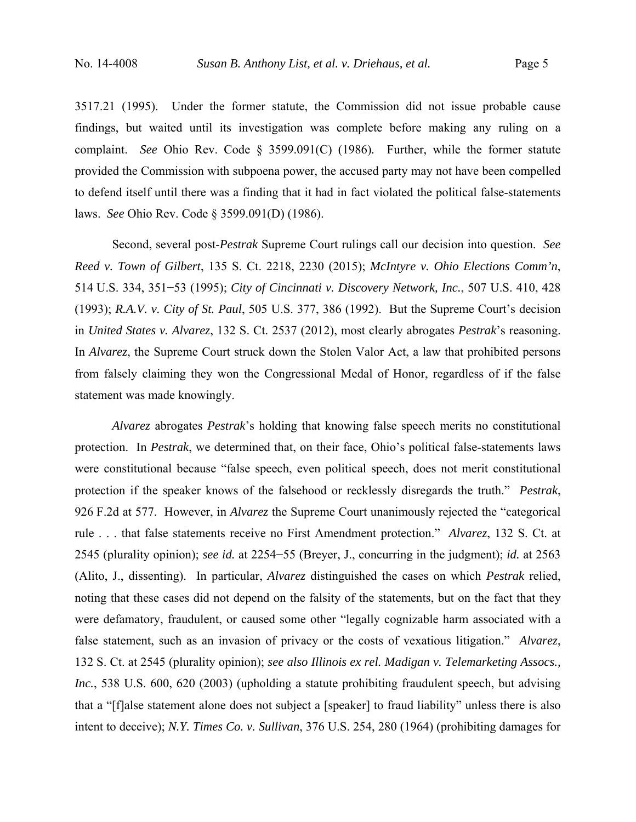3517.21 (1995). Under the former statute, the Commission did not issue probable cause findings, but waited until its investigation was complete before making any ruling on a complaint. *See* Ohio Rev. Code § 3599.091(C) (1986)*.* Further, while the former statute provided the Commission with subpoena power, the accused party may not have been compelled to defend itself until there was a finding that it had in fact violated the political false-statements laws. *See* Ohio Rev. Code § 3599.091(D) (1986).

Second, several post-*Pestrak* Supreme Court rulings call our decision into question. *See Reed v. Town of Gilbert*, 135 S. Ct. 2218, 2230 (2015); *McIntyre v. Ohio Elections Comm'n*, 514 U.S. 334, 351−53 (1995); *City of Cincinnati v. Discovery Network, Inc.*, 507 U.S. 410, 428 (1993); *R.A.V. v. City of St. Paul*, 505 U.S. 377, 386 (1992). But the Supreme Court's decision in *United States v. Alvarez*, 132 S. Ct. 2537 (2012), most clearly abrogates *Pestrak*'s reasoning. In *Alvarez*, the Supreme Court struck down the Stolen Valor Act, a law that prohibited persons from falsely claiming they won the Congressional Medal of Honor, regardless of if the false statement was made knowingly.

*Alvarez* abrogates *Pestrak*'s holding that knowing false speech merits no constitutional protection. In *Pestrak*, we determined that, on their face, Ohio's political false-statements laws were constitutional because "false speech, even political speech, does not merit constitutional protection if the speaker knows of the falsehood or recklessly disregards the truth." *Pestrak*, 926 F.2d at 577. However, in *Alvarez* the Supreme Court unanimously rejected the "categorical rule . . . that false statements receive no First Amendment protection." *Alvarez*, 132 S. Ct. at 2545 (plurality opinion); *see id.* at 2254−55 (Breyer, J., concurring in the judgment); *id.* at 2563 (Alito, J., dissenting). In particular, *Alvarez* distinguished the cases on which *Pestrak* relied, noting that these cases did not depend on the falsity of the statements, but on the fact that they were defamatory, fraudulent, or caused some other "legally cognizable harm associated with a false statement, such as an invasion of privacy or the costs of vexatious litigation." *Alvarez*, 132 S. Ct. at 2545 (plurality opinion); *see also Illinois ex rel. Madigan v. Telemarketing Assocs., Inc.*, 538 U.S. 600, 620 (2003) (upholding a statute prohibiting fraudulent speech, but advising that a "[f]alse statement alone does not subject a [speaker] to fraud liability" unless there is also intent to deceive); *N.Y. Times Co. v. Sullivan*, 376 U.S. 254, 280 (1964) (prohibiting damages for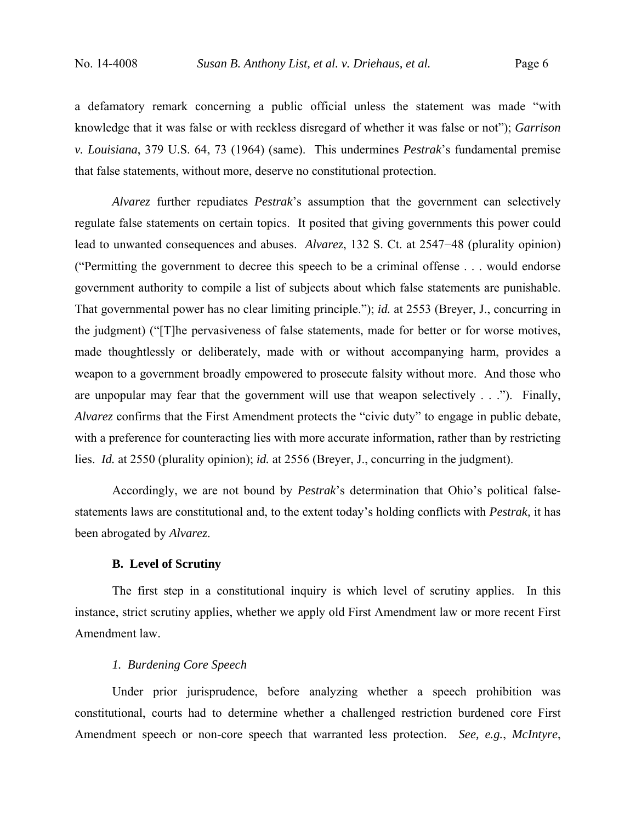a defamatory remark concerning a public official unless the statement was made "with knowledge that it was false or with reckless disregard of whether it was false or not"); *Garrison v. Louisiana*, 379 U.S. 64, 73 (1964) (same). This undermines *Pestrak*'s fundamental premise that false statements, without more, deserve no constitutional protection.

*Alvarez* further repudiates *Pestrak*'s assumption that the government can selectively regulate false statements on certain topics. It posited that giving governments this power could lead to unwanted consequences and abuses. *Alvarez*, 132 S. Ct. at 2547−48 (plurality opinion) ("Permitting the government to decree this speech to be a criminal offense . . . would endorse government authority to compile a list of subjects about which false statements are punishable. That governmental power has no clear limiting principle."); *id.* at 2553 (Breyer, J., concurring in the judgment) ("[T]he pervasiveness of false statements, made for better or for worse motives, made thoughtlessly or deliberately, made with or without accompanying harm, provides a weapon to a government broadly empowered to prosecute falsity without more. And those who are unpopular may fear that the government will use that weapon selectively . . ."). Finally, *Alvarez* confirms that the First Amendment protects the "civic duty" to engage in public debate, with a preference for counteracting lies with more accurate information, rather than by restricting lies. *Id.* at 2550 (plurality opinion); *id.* at 2556 (Breyer, J., concurring in the judgment).

Accordingly, we are not bound by *Pestrak*'s determination that Ohio's political falsestatements laws are constitutional and, to the extent today's holding conflicts with *Pestrak,* it has been abrogated by *Alvarez*.

### **B. Level of Scrutiny**

The first step in a constitutional inquiry is which level of scrutiny applies. In this instance, strict scrutiny applies, whether we apply old First Amendment law or more recent First Amendment law.

# *1. Burdening Core Speech*

Under prior jurisprudence, before analyzing whether a speech prohibition was constitutional, courts had to determine whether a challenged restriction burdened core First Amendment speech or non-core speech that warranted less protection. *See, e.g.*, *McIntyre*,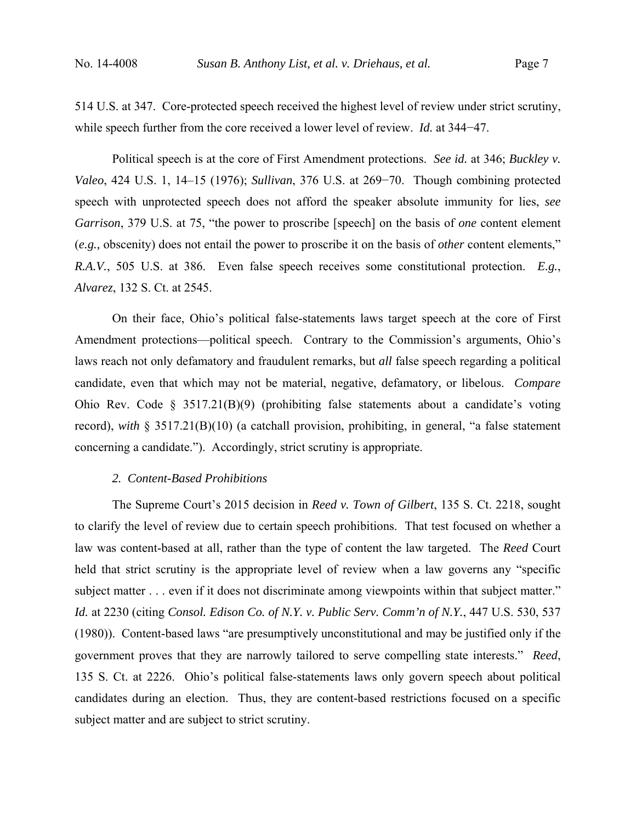514 U.S. at 347. Core-protected speech received the highest level of review under strict scrutiny, while speech further from the core received a lower level of review. *Id.* at 344−47.

Political speech is at the core of First Amendment protections. *See id.* at 346; *Buckley v. Valeo*, 424 U.S. 1, 14–15 (1976); *Sullivan*, 376 U.S. at 269−70. Though combining protected speech with unprotected speech does not afford the speaker absolute immunity for lies, *see Garrison*, 379 U.S. at 75, "the power to proscribe [speech] on the basis of *one* content element (*e.g.,* obscenity) does not entail the power to proscribe it on the basis of *other* content elements," *R.A.V.*, 505 U.S. at 386. Even false speech receives some constitutional protection. *E.g.*, *Alvarez*, 132 S. Ct. at 2545.

On their face, Ohio's political false-statements laws target speech at the core of First Amendment protections—political speech. Contrary to the Commission's arguments, Ohio's laws reach not only defamatory and fraudulent remarks, but *all* false speech regarding a political candidate, even that which may not be material, negative, defamatory, or libelous. *Compare*  Ohio Rev. Code § 3517.21(B)(9) (prohibiting false statements about a candidate's voting record), *with* § 3517.21(B)(10) (a catchall provision, prohibiting, in general, "a false statement concerning a candidate."). Accordingly, strict scrutiny is appropriate.

## *2. Content-Based Prohibitions*

The Supreme Court's 2015 decision in *Reed v. Town of Gilbert*, 135 S. Ct. 2218, sought to clarify the level of review due to certain speech prohibitions. That test focused on whether a law was content-based at all, rather than the type of content the law targeted. The *Reed* Court held that strict scrutiny is the appropriate level of review when a law governs any "specific subject matter . . . even if it does not discriminate among viewpoints within that subject matter." *Id.* at 2230 (citing *Consol. Edison Co. of N.Y. v. Public Serv. Comm'n of N.Y.*, 447 U.S. 530, 537 (1980)). Content-based laws "are presumptively unconstitutional and may be justified only if the government proves that they are narrowly tailored to serve compelling state interests." *Reed*, 135 S. Ct. at 2226. Ohio's political false-statements laws only govern speech about political candidates during an election. Thus, they are content-based restrictions focused on a specific subject matter and are subject to strict scrutiny.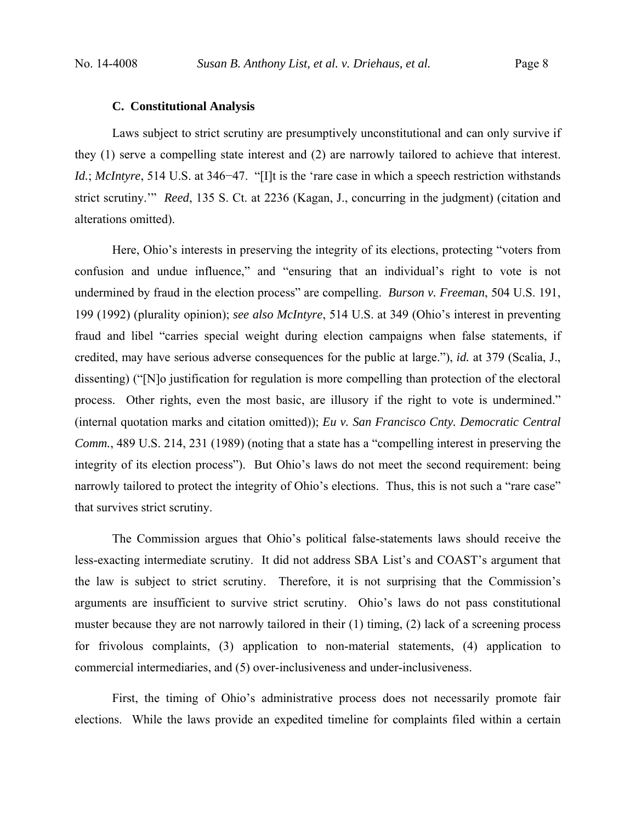#### **C. Constitutional Analysis**

Laws subject to strict scrutiny are presumptively unconstitutional and can only survive if they (1) serve a compelling state interest and (2) are narrowly tailored to achieve that interest. *Id.*; *McIntyre*, 514 U.S. at 346–47. "[I]t is the 'rare case in which a speech restriction withstands strict scrutiny.'" *Reed*, 135 S. Ct. at 2236 (Kagan, J., concurring in the judgment) (citation and alterations omitted).

Here, Ohio's interests in preserving the integrity of its elections, protecting "voters from confusion and undue influence," and "ensuring that an individual's right to vote is not undermined by fraud in the election process" are compelling. *Burson v. Freeman*, 504 U.S. 191, 199 (1992) (plurality opinion); *see also McIntyre*, 514 U.S. at 349 (Ohio's interest in preventing fraud and libel "carries special weight during election campaigns when false statements, if credited, may have serious adverse consequences for the public at large."), *id.* at 379 (Scalia, J., dissenting) ("[N]o justification for regulation is more compelling than protection of the electoral process. Other rights, even the most basic, are illusory if the right to vote is undermined." (internal quotation marks and citation omitted)); *Eu v. San Francisco Cnty. Democratic Central Comm.*, 489 U.S. 214, 231 (1989) (noting that a state has a "compelling interest in preserving the integrity of its election process"). But Ohio's laws do not meet the second requirement: being narrowly tailored to protect the integrity of Ohio's elections. Thus, this is not such a "rare case" that survives strict scrutiny.

The Commission argues that Ohio's political false-statements laws should receive the less-exacting intermediate scrutiny. It did not address SBA List's and COAST's argument that the law is subject to strict scrutiny. Therefore, it is not surprising that the Commission's arguments are insufficient to survive strict scrutiny. Ohio's laws do not pass constitutional muster because they are not narrowly tailored in their (1) timing, (2) lack of a screening process for frivolous complaints, (3) application to non-material statements, (4) application to commercial intermediaries, and (5) over-inclusiveness and under-inclusiveness.

First, the timing of Ohio's administrative process does not necessarily promote fair elections. While the laws provide an expedited timeline for complaints filed within a certain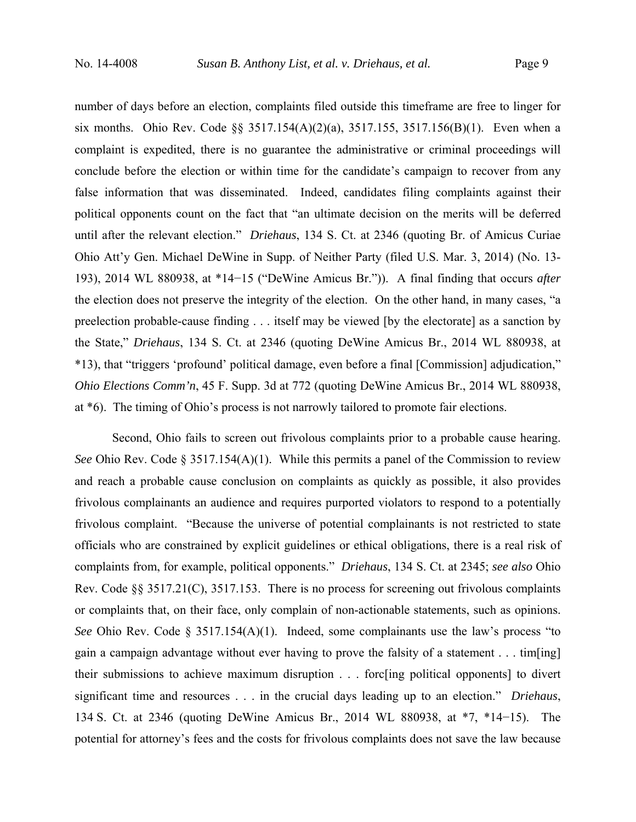number of days before an election, complaints filed outside this timeframe are free to linger for six months. Ohio Rev. Code §§ 3517.154(A)(2)(a), 3517.155, 3517.156(B)(1). Even when a complaint is expedited, there is no guarantee the administrative or criminal proceedings will conclude before the election or within time for the candidate's campaign to recover from any false information that was disseminated. Indeed, candidates filing complaints against their political opponents count on the fact that "an ultimate decision on the merits will be deferred until after the relevant election." *Driehaus*, 134 S. Ct. at 2346 (quoting Br. of Amicus Curiae Ohio Att'y Gen. Michael DeWine in Supp. of Neither Party (filed U.S. Mar. 3, 2014) (No. 13- 193), 2014 WL 880938, at \*14−15 ("DeWine Amicus Br.")). A final finding that occurs *after* the election does not preserve the integrity of the election. On the other hand, in many cases, "a preelection probable-cause finding . . . itself may be viewed [by the electorate] as a sanction by the State," *Driehaus*, 134 S. Ct. at 2346 (quoting DeWine Amicus Br., 2014 WL 880938, at \*13), that "triggers 'profound' political damage, even before a final [Commission] adjudication," *Ohio Elections Comm'n*, 45 F. Supp. 3d at 772 (quoting DeWine Amicus Br., 2014 WL 880938, at \*6). The timing of Ohio's process is not narrowly tailored to promote fair elections.

Second, Ohio fails to screen out frivolous complaints prior to a probable cause hearing. *See* Ohio Rev. Code § 3517.154(A)(1). While this permits a panel of the Commission to review and reach a probable cause conclusion on complaints as quickly as possible, it also provides frivolous complainants an audience and requires purported violators to respond to a potentially frivolous complaint. "Because the universe of potential complainants is not restricted to state officials who are constrained by explicit guidelines or ethical obligations, there is a real risk of complaints from, for example, political opponents." *Driehaus*, 134 S. Ct. at 2345; *see also* Ohio Rev. Code §§ 3517.21(C), 3517.153. There is no process for screening out frivolous complaints or complaints that, on their face, only complain of non-actionable statements, such as opinions. *See* Ohio Rev. Code § 3517.154(A)(1). Indeed, some complainants use the law's process "to gain a campaign advantage without ever having to prove the falsity of a statement . . . tim[ing] their submissions to achieve maximum disruption . . . forc[ing political opponents] to divert significant time and resources . . . in the crucial days leading up to an election." *Driehaus*, 134 S. Ct. at 2346 (quoting DeWine Amicus Br., 2014 WL 880938, at \*7, \*14−15). The potential for attorney's fees and the costs for frivolous complaints does not save the law because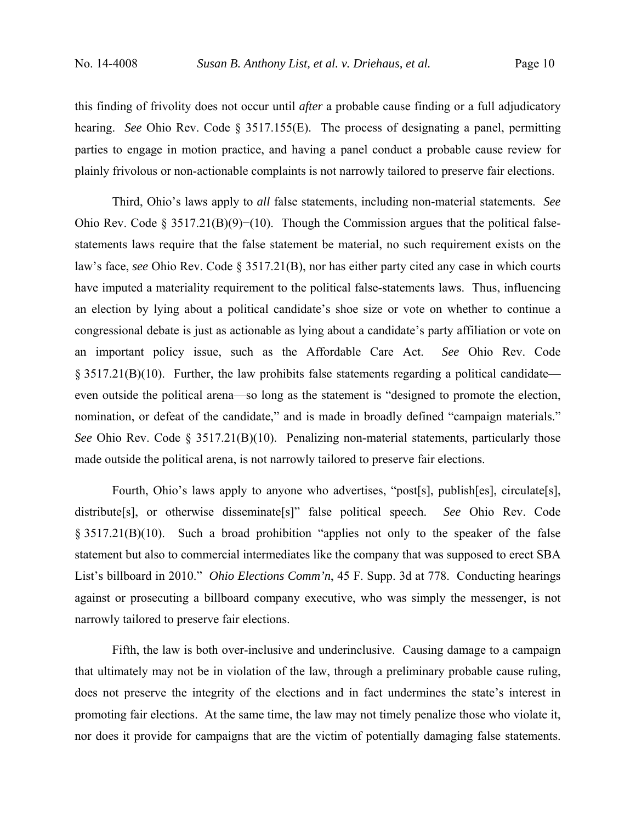this finding of frivolity does not occur until *after* a probable cause finding or a full adjudicatory hearing. *See* Ohio Rev. Code § 3517.155(E). The process of designating a panel, permitting parties to engage in motion practice, and having a panel conduct a probable cause review for plainly frivolous or non-actionable complaints is not narrowly tailored to preserve fair elections.

Third, Ohio's laws apply to *all* false statements, including non-material statements. *See*  Ohio Rev. Code § 3517.21(B)(9)−(10). Though the Commission argues that the political falsestatements laws require that the false statement be material, no such requirement exists on the law's face, *see* Ohio Rev. Code § 3517.21(B), nor has either party cited any case in which courts have imputed a materiality requirement to the political false-statements laws. Thus, influencing an election by lying about a political candidate's shoe size or vote on whether to continue a congressional debate is just as actionable as lying about a candidate's party affiliation or vote on an important policy issue, such as the Affordable Care Act. *See* Ohio Rev. Code  $\S$  3517.21(B)(10). Further, the law prohibits false statements regarding a political candidate even outside the political arena—so long as the statement is "designed to promote the election, nomination, or defeat of the candidate," and is made in broadly defined "campaign materials." *See* Ohio Rev. Code  $\S 3517.21(B)(10)$ . Penalizing non-material statements, particularly those made outside the political arena, is not narrowly tailored to preserve fair elections.

Fourth, Ohio's laws apply to anyone who advertises, "post[s], publish[es], circulate[s], distribute[s], or otherwise disseminate[s]" false political speech. *See* Ohio Rev. Code § 3517.21(B)(10). Such a broad prohibition "applies not only to the speaker of the false statement but also to commercial intermediates like the company that was supposed to erect SBA List's billboard in 2010." *Ohio Elections Comm'n*, 45 F. Supp. 3d at 778. Conducting hearings against or prosecuting a billboard company executive, who was simply the messenger, is not narrowly tailored to preserve fair elections.

 Fifth, the law is both over-inclusive and underinclusive. Causing damage to a campaign that ultimately may not be in violation of the law, through a preliminary probable cause ruling, does not preserve the integrity of the elections and in fact undermines the state's interest in promoting fair elections. At the same time, the law may not timely penalize those who violate it, nor does it provide for campaigns that are the victim of potentially damaging false statements.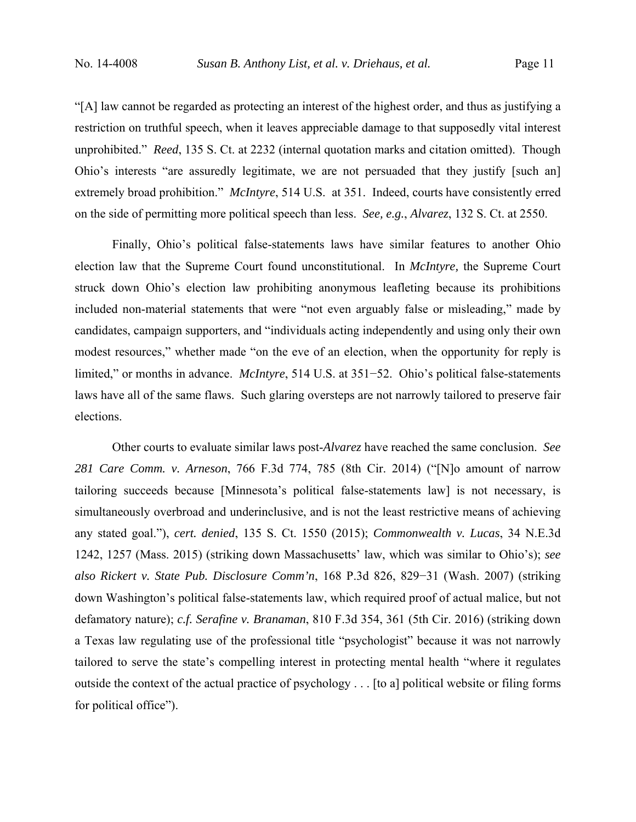"[A] law cannot be regarded as protecting an interest of the highest order, and thus as justifying a restriction on truthful speech, when it leaves appreciable damage to that supposedly vital interest unprohibited." *Reed*, 135 S. Ct. at 2232 (internal quotation marks and citation omitted). Though Ohio's interests "are assuredly legitimate, we are not persuaded that they justify [such an] extremely broad prohibition." *McIntyre*, 514 U.S. at 351. Indeed, courts have consistently erred on the side of permitting more political speech than less. *See, e.g.*, *Alvarez*, 132 S. Ct. at 2550.

Finally, Ohio's political false-statements laws have similar features to another Ohio election law that the Supreme Court found unconstitutional. In *McIntyre,* the Supreme Court struck down Ohio's election law prohibiting anonymous leafleting because its prohibitions included non-material statements that were "not even arguably false or misleading," made by candidates, campaign supporters, and "individuals acting independently and using only their own modest resources," whether made "on the eve of an election, when the opportunity for reply is limited," or months in advance. *McIntyre*, 514 U.S. at 351−52. Ohio's political false-statements laws have all of the same flaws. Such glaring oversteps are not narrowly tailored to preserve fair elections.

Other courts to evaluate similar laws post-*Alvarez* have reached the same conclusion. *See 281 Care Comm. v. Arneson*, 766 F.3d 774, 785 (8th Cir. 2014) ("[N]o amount of narrow tailoring succeeds because [Minnesota's political false-statements law] is not necessary, is simultaneously overbroad and underinclusive, and is not the least restrictive means of achieving any stated goal."), *cert. denied*, 135 S. Ct. 1550 (2015); *Commonwealth v. Lucas*, 34 N.E.3d 1242, 1257 (Mass. 2015) (striking down Massachusetts' law, which was similar to Ohio's); *see also Rickert v. State Pub. Disclosure Comm'n*, 168 P.3d 826, 829−31 (Wash. 2007) (striking down Washington's political false-statements law, which required proof of actual malice, but not defamatory nature); *c.f. Serafine v. Branaman*, 810 F.3d 354, 361 (5th Cir. 2016) (striking down a Texas law regulating use of the professional title "psychologist" because it was not narrowly tailored to serve the state's compelling interest in protecting mental health "where it regulates outside the context of the actual practice of psychology . . . [to a] political website or filing forms for political office").